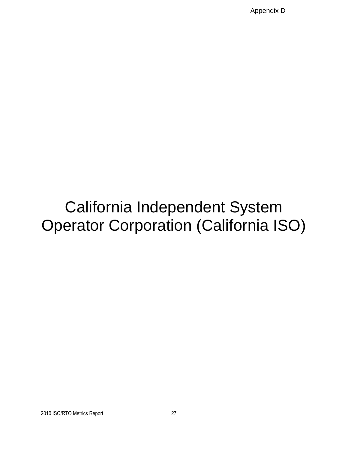Appendix D

# California Independent System Operator Corporation (California ISO)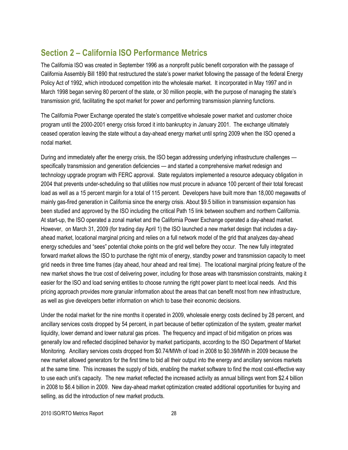## **Section 2 – California ISO Performance Metrics**

The California ISO was created in September 1996 as a nonprofit public benefit corporation with the passage of California Assembly Bill 1890 that restructured the state's power market following the passage of the federal Energy Policy Act of 1992, which introduced competition into the wholesale market. It incorporated in May 1997 and in March 1998 began serving 80 percent of the state, or 30 million people, with the purpose of managing the state's transmission grid, facilitating the spot market for power and performing transmission planning functions.

The California Power Exchange operated the state's competitive wholesale power market and customer choice program until the 2000-2001 energy crisis forced it into bankruptcy in January 2001. The exchange ultimately ceased operation leaving the state without a day-ahead energy market until spring 2009 when the ISO opened a nodal market.

During and immediately after the energy crisis, the ISO began addressing underlying infrastructure challenges specifically transmission and generation deficiencies — and started a comprehensive market redesign and technology upgrade program with FERC approval. State regulators implemented a resource adequacy obligation in 2004 that prevents under-scheduling so that utilities now must procure in advance 100 percent of their total forecast load as well as a 15 percent margin for a total of 115 percent. Developers have built more than 18,000 megawatts of mainly gas-fired generation in California since the energy crisis. About \$9.5 billion in transmission expansion has been studied and approved by the ISO including the critical Path 15 link between southern and northern California. At start-up, the ISO operated a zonal market and the California Power Exchange operated a day-ahead market. However, on March 31, 2009 (for trading day April 1) the ISO launched a new market design that includes a dayahead market, locational marginal pricing and relies on a full network model of the grid that analyzes day-ahead energy schedules and "sees" potential choke points on the grid well before they occur. The new fully integrated forward market allows the ISO to purchase the right mix of energy, standby power and transmission capacity to meet grid needs in three time frames (day ahead, hour ahead and real time). The locational marginal pricing feature of the new market shows the true cost of delivering power, including for those areas with transmission constraints, making it easier for the ISO and load serving entities to choose running the right power plant to meet local needs. And this pricing approach provides more granular information about the areas that can benefit most from new infrastructure, as well as give developers better information on which to base their economic decisions.

Under the nodal market for the nine months it operated in 2009, wholesale energy costs declined by 28 percent, and ancillary services costs dropped by 54 percent, in part because of better optimization of the system, greater market liquidity, lower demand and lower natural gas prices. The frequency and impact of bid mitigation on prices was generally low and reflected disciplined behavior by market participants, according to the ISO Department of Market Monitoring. Ancillary services costs dropped from \$0.74/MWh of load in 2008 to \$0.39/MWh in 2009 because the new market allowed generators for the first time to bid all their output into the energy and ancillary services markets at the same time. This increases the supply of bids, enabling the market software to find the most cost-effective way to use each unit's capacity. The new market reflected the increased activity as annual billings went from \$2.4 billion in 2008 to \$6.4 billion in 2009. New day-ahead market optimization created additional opportunities for buying and selling, as did the introduction of new market products.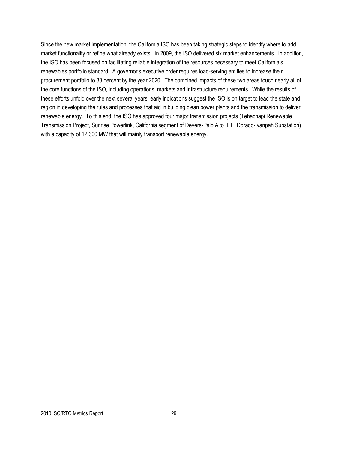Since the new market implementation, the California ISO has been taking strategic steps to identify where to add market functionality or refine what already exists. In 2009, the ISO delivered six market enhancements. In addition, the ISO has been focused on facilitating reliable integration of the resources necessary to meet California's renewables portfolio standard. A governor's executive order requires load-serving entities to increase their procurement portfolio to 33 percent by the year 2020. The combined impacts of these two areas touch nearly all of the core functions of the ISO, including operations, markets and infrastructure requirements. While the results of these efforts unfold over the next several years, early indications suggest the ISO is on target to lead the state and region in developing the rules and processes that aid in building clean power plants and the transmission to deliver renewable energy. To this end, the ISO has approved four major transmission projects (Tehachapi Renewable Transmission Project, Sunrise Powerlink, California segment of Devers-Palo Alto II, El Dorado-Ivanpah Substation) with a capacity of 12,300 MW that will mainly transport renewable energy.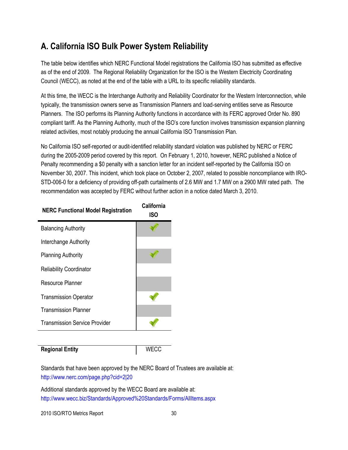## **A. California ISO Bulk Power System Reliability**

The table below identifies which NERC Functional Model registrations the California ISO has submitted as effective as of the end of 2009. The Regional Reliability Organization for the ISO is the Western Electricity Coordinating Council (WECC), as noted at the end of the table with a URL to its specific reliability standards.

At this time, the WECC is the Interchange Authority and Reliability Coordinator for the Western Interconnection, while typically, the transmission owners serve as Transmission Planners and load-serving entities serve as Resource Planners. The ISO performs its Planning Authority functions in accordance with its FERC approved Order No. 890 compliant tariff. As the Planning Authority, much of the ISO's core function involves transmission expansion planning related activities, most notably producing the annual California ISO Transmission Plan.

No California ISO self-reported or audit-identified reliability standard violation was published by NERC or FERC during the 2005-2009 period covered by this report. On February 1, 2010, however, NERC published a Notice of Penalty recommending a \$0 penalty with a sanction letter for an incident self-reported by the California ISO on November 30, 2007. This incident, which took place on October 2, 2007, related to possible noncompliance with IRO-STD-006-0 for a deficiency of providing off-path curtailments of 2.6 MW and 1.7 MW on a 2900 MW rated path. The recommendation was accepted by FERC without further action in a notice dated March 3, 2010.

| <b>NERC Functional Model Registration</b> | California<br>ISO |
|-------------------------------------------|-------------------|
| <b>Balancing Authority</b>                |                   |
| Interchange Authority                     |                   |
| <b>Planning Authority</b>                 |                   |
| <b>Reliability Coordinator</b>            |                   |
| Resource Planner                          |                   |
| <b>Transmission Operator</b>              |                   |
| <b>Transmission Planner</b>               |                   |
| <b>Transmission Service Provider</b>      |                   |

### **Regional Entity** NECC

Standards that have been approved by the NERC Board of Trustees are available at: <http://www.nerc.com/page.php?cid=2|20>

Additional standards approved by the WECC Board are available at: <http://www.wecc.biz/Standards/Approved%20Standards/Forms/AllItems.aspx>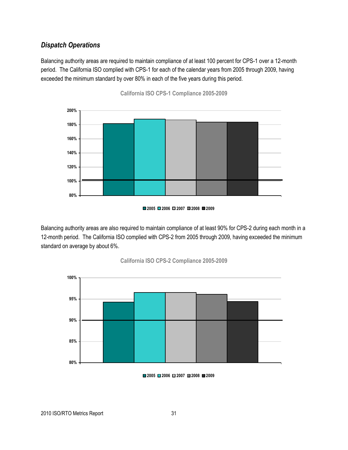## *Dispatch Operations*

Balancing authority areas are required to maintain compliance of at least 100 percent for CPS-1 over a 12-month period. The California ISO complied with CPS-1 for each of the calendar years from 2005 through 2009, having exceeded the minimum standard by over 80% in each of the five years during this period.



**California ISO CPS-1 Compliance 2005-2009**

Balancing authority areas are also required to maintain compliance of at least 90% for CPS-2 during each month in a 12-month period. The California ISO complied with CPS-2 from 2005 through 2009, having exceeded the minimum standard on average by about 6%.







**<sup>2005</sup> 2006 2007 2008 2009**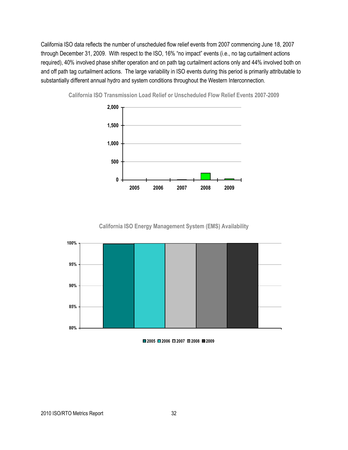California ISO data reflects the number of unscheduled flow relief events from 2007 commencing June 18, 2007 through December 31, 2009. With respect to the ISO, 16% "no impact" events (i.e., no tag curtailment actions required), 40% involved phase shifter operation and on path tag curtailment actions only and 44% involved both on and off path tag curtailment actions. The large variability in ISO events during this period is primarily attributable to substantially different annual hydro and system conditions throughout the Western Interconnection.



**California ISO Transmission Load Relief or Unscheduled Flow Relief Events 2007-2009**

**California ISO Energy Management System (EMS) Availability**



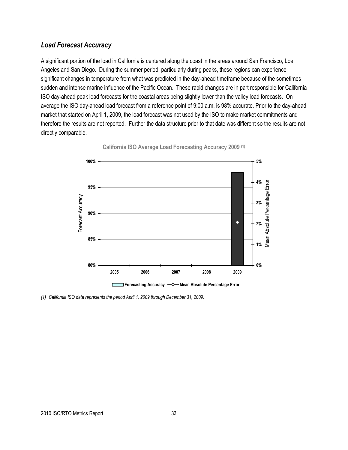## *Load Forecast Accuracy*

A significant portion of the load in California is centered along the coast in the areas around San Francisco, Los Angeles and San Diego. During the summer period, particularly during peaks, these regions can experience significant changes in temperature from what was predicted in the day-ahead timeframe because of the sometimes sudden and intense marine influence of the Pacific Ocean. These rapid changes are in part responsible for California ISO day-ahead peak load forecasts for the coastal areas being slightly lower than the valley load forecasts. On average the ISO day-ahead load forecast from a reference point of 9:00 a.m. is 98% accurate. Prior to the day-ahead market that started on April 1, 2009, the load forecast was not used by the ISO to make market commitments and therefore the results are not reported. Further the data structure prior to that date was different so the results are not directly comparable.



**California ISO Average Load Forecasting Accuracy 2009 (1)**

*(1) California ISO data represents the period April 1, 2009 through December 31, 2009.*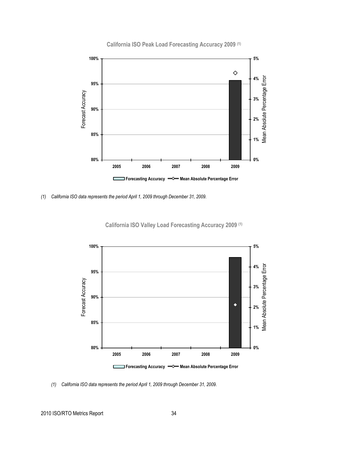

**California ISO Peak Load Forecasting Accuracy 2009 (1)**

*(1) California ISO data represents the period April 1, 2009 through December 31, 2009.*

**California ISO Valley Load Forecasting Accuracy 2009 (1)**

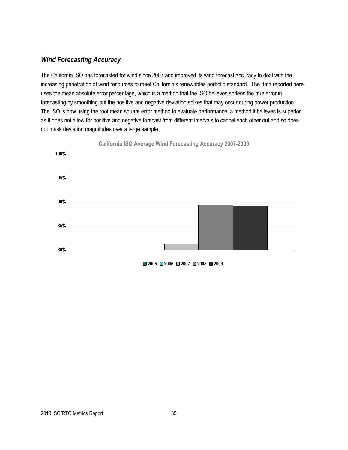## *Wind Forecasting Accuracy*

The California ISO has forecasted for wind since 2007 and improved its wind forecast accuracy to deal with the increasing penetration of wind resources to meet California's renewables portfolio standard. The data reported here uses the mean absolute error percentage, which is a method that the ISO believes softens the true error in forecasting by smoothing out the positive and negative deviation spikes that may occur during power production. The ISO is now using the root mean square error method to evaluate performance, a method it believes is superior as it does not allow for positive and negative forecast from different intervals to cancel each other out and so does not mask deviation magnitudes over a large sample.



**California ISO Average Wind Forecasting Accuracy 2007-2009**

**2005 2006 2007 2008 2009**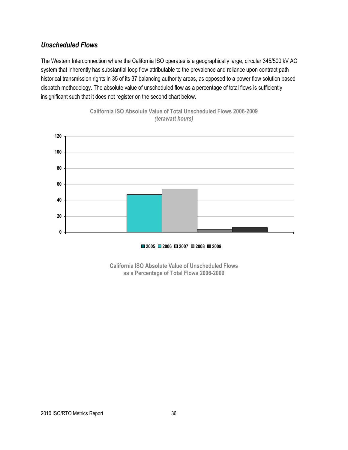## *Unscheduled Flows*

The Western Interconnection where the California ISO operates is a geographically large, circular 345/500 kV AC system that inherently has substantial loop flow attributable to the prevalence and reliance upon contract path historical transmission rights in 35 of its 37 balancing authority areas, as opposed to a power flow solution based dispatch methodology. The absolute value of unscheduled flow as a percentage of total flows is sufficiently insignificant such that it does not register on the second chart below.



**California ISO Absolute Value of Total Unscheduled Flows 2006-2009** *(terawatt hours)* 

**2005 2006 2007 2008 2009**

**California ISO Absolute Value of Unscheduled Flows as a Percentage of Total Flows 2006-2009**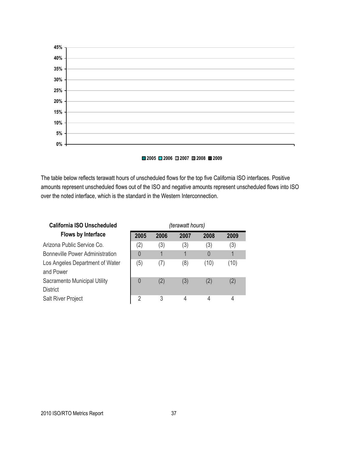

#### **2005 2006 2007 2008 2009**

The table below reflects terawatt hours of unscheduled flows for the top five California ISO interfaces. Positive amounts represent unscheduled flows out of the ISO and negative amounts represent unscheduled flows into ISO over the noted interface, which is the standard in the Western Interconnection.

| <b>California ISO Unscheduled</b>               | (terawatt hours) |      |      |      |      |
|-------------------------------------------------|------------------|------|------|------|------|
| <b>Flows by Interface</b>                       | 2005             | 2006 | 2007 | 2008 | 2009 |
| Arizona Public Service Co.                      | (2)              | (3)  | (3)  | (3)  | (3)  |
| <b>Bonneville Power Administration</b>          | $\overline{0}$   |      |      | 0    |      |
| Los Angeles Department of Water<br>and Power    | (5)              | (7)  | (8)  | (10) | (10) |
| Sacramento Municipal Utility<br><b>District</b> | $\overline{0}$   | (2)  | (3)  | (2)  | (2)  |
| <b>Salt River Project</b>                       | $\overline{2}$   | 3    | 4    | 4    | 4    |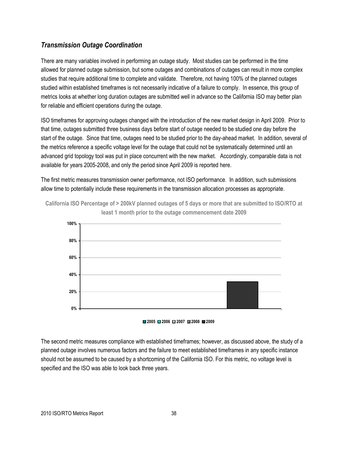## *Transmission Outage Coordination*

There are many variables involved in performing an outage study. Most studies can be performed in the time allowed for planned outage submission, but some outages and combinations of outages can result in more complex studies that require additional time to complete and validate. Therefore, not having 100% of the planned outages studied within established timeframes is not necessarily indicative of a failure to comply. In essence, this group of metrics looks at whether long duration outages are submitted well in advance so the California ISO may better plan for reliable and efficient operations during the outage.

ISO timeframes for approving outages changed with the introduction of the new market design in April 2009. Prior to that time, outages submitted three business days before start of outage needed to be studied one day before the start of the outage. Since that time, outages need to be studied prior to the day-ahead market. In addition, several of the metrics reference a specific voltage level for the outage that could not be systematically determined until an advanced grid topology tool was put in place concurrent with the new market. Accordingly, comparable data is not available for years 2005-2008, and only the period since April 2009 is reported here.

The first metric measures transmission owner performance, not ISO performance. In addition, such submissions allow time to potentially include these requirements in the transmission allocation processes as appropriate.



**California ISO Percentage of > 200kV planned outages of 5 days or more that are submitted to ISO/RTO at least 1 month prior to the outage commencement date 2009**

#### **2005 2006 2007 2008 2009**

The second metric measures compliance with established timeframes; however, as discussed above, the study of a planned outage involves numerous factors and the failure to meet established timeframes in any specific instance should not be assumed to be caused by a shortcoming of the California ISO. For this metric, no voltage level is specified and the ISO was able to look back three years.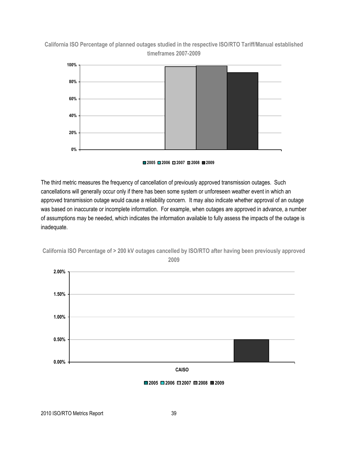## **California ISO Percentage of planned outages studied in the respective ISO/RTO Tariff/Manual established timeframes 2007-2009**



#### **2005 2006 2007 2008 2009**

The third metric measures the frequency of cancellation of previously approved transmission outages. Such cancellations will generally occur only if there has been some system or unforeseen weather event in which an approved transmission outage would cause a reliability concern. It may also indicate whether approval of an outage was based on inaccurate or incomplete information. For example, when outages are approved in advance, a number of assumptions may be needed, which indicates the information available to fully assess the impacts of the outage is inadequate.



**California ISO Percentage of > 200 kV outages cancelled by ISO/RTO after having been previously approved** 

**2009**

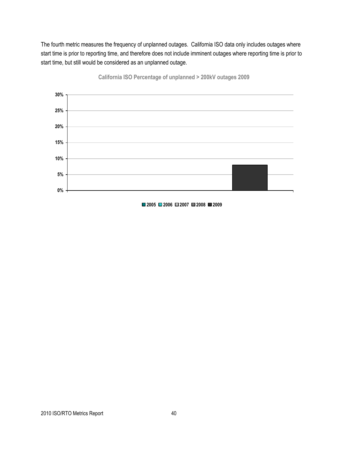The fourth metric measures the frequency of unplanned outages. California ISO data only includes outages where start time is prior to reporting time, and therefore does not include imminent outages where reporting time is prior to start time, but still would be considered as an unplanned outage.



**California ISO Percentage of unplanned > 200kV outages 2009**



2010 ISO/RTO Metrics Report 40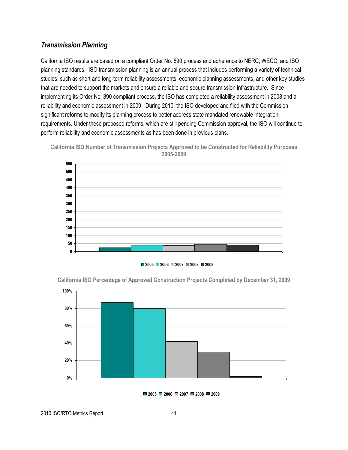## *Transmission Planning*

California ISO results are based on a compliant Order No. 890 process and adherence to NERC, WECC, and ISO planning standards. ISO transmission planning is an annual process that includes performing a variety of technical studies, such as short and long-term reliability assessments, economic planning assessments, and other key studies that are needed to support the markets and ensure a reliable and secure transmission infrastructure. Since implementing its Order No. 890 compliant process, the ISO has completed a reliability assessment in 2008 and a reliability and economic assessment in 2009. During 2010, the ISO developed and filed with the Commission significant reforms to modify its planning process to better address state mandated renewable integration requirements. Under these proposed reforms, which are still pending Commission approval, the ISO will continue to perform reliability and economic assessments as has been done in previous plans.





**2005 2006 2007 2008 2009**



**California ISO Percentage of Approved Construction Projects Completed by December 31, 2009**

**2005 2006 2007 2008 2009**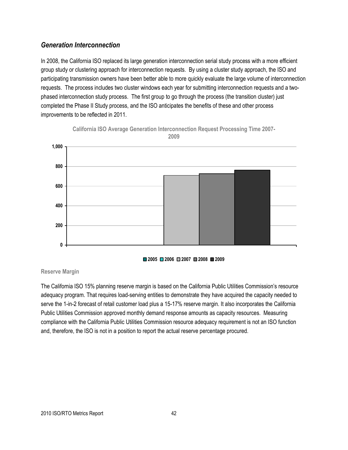## *Generation Interconnection*

In 2008, the California ISO replaced its large generation interconnection serial study process with a more efficient group study or clustering approach for interconnection requests. By using a cluster study approach, the ISO and participating transmission owners have been better able to more quickly evaluate the large volume of interconnection requests. The process includes two cluster windows each year for submitting interconnection requests and a twophased interconnection study process. The first group to go through the process (the transition cluster) just completed the Phase II Study process, and the ISO anticipates the benefits of these and other process improvements to be reflected in 2011.





**2005 2006 2007 2008 2009**

#### **Reserve Margin**

The California ISO 15% planning reserve margin is based on the California Public Utilities Commission's resource adequacy program. That requires load-serving entities to demonstrate they have acquired the capacity needed to serve the 1-in-2 forecast of retail customer load plus a 15-17% reserve margin. It also incorporates the California Public Utilities Commission approved monthly demand response amounts as capacity resources. Measuring compliance with the California Public Utilities Commission resource adequacy requirement is not an ISO function and, therefore, the ISO is not in a position to report the actual reserve percentage procured.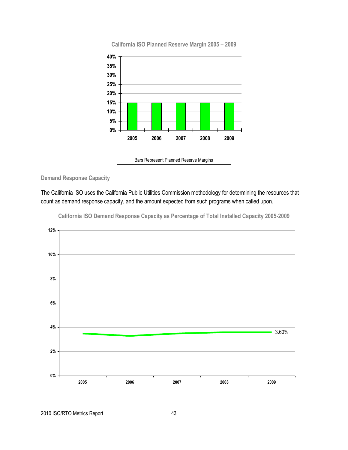

**California ISO Planned Reserve Margin 2005 – 2009**

**Demand Response Capacity**

The California ISO uses the California Public Utilities Commission methodology for determining the resources that count as demand response capacity, and the amount expected from such programs when called upon.



**California ISO Demand Response Capacity as Percentage of Total Installed Capacity 2005-2009**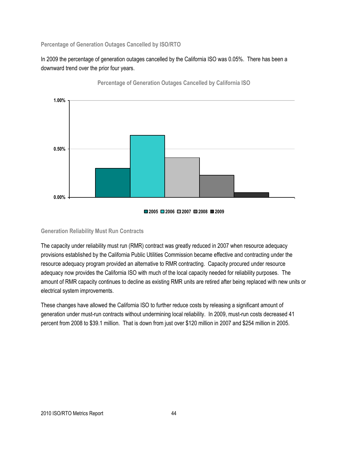**Percentage of Generation Outages Cancelled by ISO/RTO**

In 2009 the percentage of generation outages cancelled by the California ISO was 0.05%. There has been a downward trend over the prior four years.



**Percentage of Generation Outages Cancelled by California ISO**

#### **Generation Reliability Must Run Contracts**

The capacity under reliability must run (RMR) contract was greatly reduced in 2007 when resource adequacy provisions established by the California Public Utilities Commission became effective and contracting under the resource adequacy program provided an alternative to RMR contracting. Capacity procured under resource adequacy now provides the California ISO with much of the local capacity needed for reliability purposes. The amount of RMR capacity continues to decline as existing RMR units are retired after being replaced with new units or electrical system improvements.

These changes have allowed the California ISO to further reduce costs by releasing a significant amount of generation under must-run contracts without undermining local reliability. In 2009, must-run costs decreased 41 percent from 2008 to \$39.1 million. That is down from just over \$120 million in 2007 and \$254 million in 2005.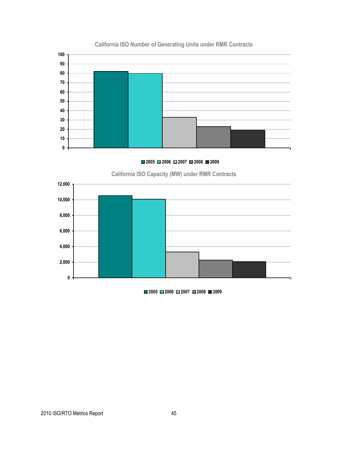

## **California ISO Number of Generating Units under RMR Contracts**

**2006 2007 2008 2009**

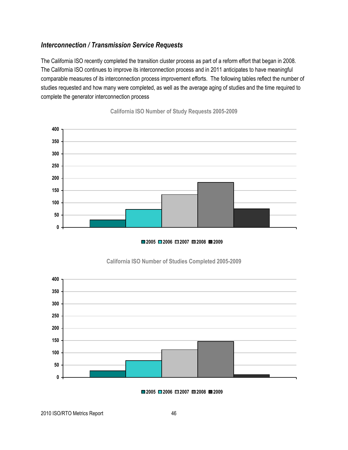## *Interconnection / Transmission Service Requests*

The California ISO recently completed the transition cluster process as part of a reform effort that began in 2008. The California ISO continues to improve its interconnection process and in 2011 anticipates to have meaningful comparable measures of its interconnection process improvement efforts. The following tables reflect the number of studies requested and how many were completed, as well as the average aging of studies and the time required to complete the generator interconnection process



**California ISO Number of Study Requests 2005-2009**





### **California ISO Number of Studies Completed 2005-2009**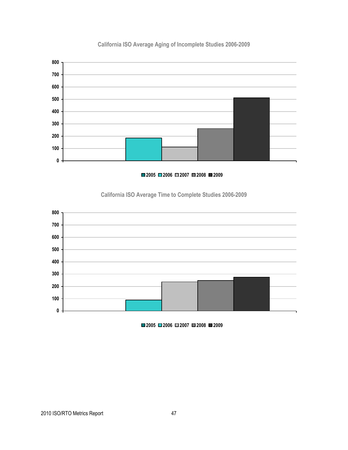

## **California ISO Average Aging of Incomplete Studies 2006-2009**

**2006 2007 2008 2009**

## **California ISO Average Time to Complete Studies 2006-2009**

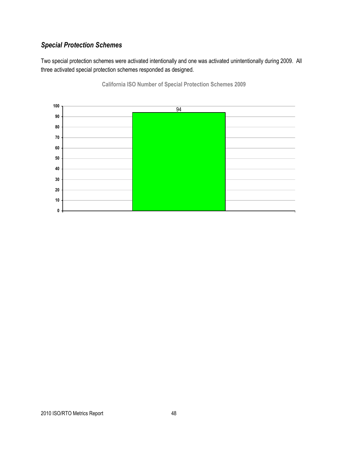## *Special Protection Schemes*

Two special protection schemes were activated intentionally and one was activated unintentionally during 2009. All three activated special protection schemes responded as designed.



**California ISO Number of Special Protection Schemes 2009**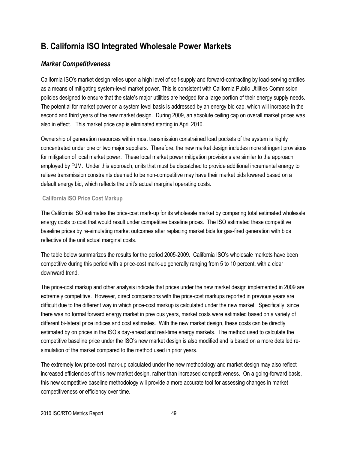## **B. California ISO Integrated Wholesale Power Markets**

## *Market Competitiveness*

California ISO's market design relies upon a high level of self-supply and forward-contracting by load-serving entities as a means of mitigating system-level market power. This is consistent with California Public Utilities Commission policies designed to ensure that the state's major utilities are hedged for a large portion of their energy supply needs. The potential for market power on a system level basis is addressed by an energy bid cap, which will increase in the second and third years of the new market design. During 2009, an absolute ceiling cap on overall market prices was also in effect. This market price cap is eliminated starting in April 2010.

Ownership of generation resources within most transmission constrained load pockets of the system is highly concentrated under one or two major suppliers. Therefore, the new market design includes more stringent provisions for mitigation of local market power. These local market power mitigation provisions are similar to the approach employed by PJM. Under this approach, units that must be dispatched to provide additional incremental energy to relieve transmission constraints deemed to be non-competitive may have their market bids lowered based on a default energy bid, which reflects the unit's actual marginal operating costs.

### **California ISO Price Cost Markup**

The California ISO estimates the price-cost mark-up for its wholesale market by comparing total estimated wholesale energy costs to cost that would result under competitive baseline prices. The ISO estimated these competitive baseline prices by re-simulating market outcomes after replacing market bids for gas-fired generation with bids reflective of the unit actual marginal costs.

The table below summarizes the results for the period 2005-2009. California ISO's wholesale markets have been competitive during this period with a price-cost mark-up generally ranging from 5 to 10 percent, with a clear downward trend.

The price-cost markup and other analysis indicate that prices under the new market design implemented in 2009 are extremely competitive. However, direct comparisons with the price-cost markups reported in previous years are difficult due to the different way in which price-cost markup is calculated under the new market. Specifically, since there was no formal forward energy market in previous years, market costs were estimated based on a variety of different bi-lateral price indices and cost estimates. With the new market design, these costs can be directly estimated by on prices in the ISO's day-ahead and real-time energy markets. The method used to calculate the competitive baseline price under the ISO's new market design is also modified and is based on a more detailed resimulation of the market compared to the method used in prior years.

The extremely low price-cost mark-up calculated under the new methodology and market design may also reflect increased efficiencies of this new market design, rather than increased competitiveness. On a going-forward basis, this new competitive baseline methodology will provide a more accurate tool for assessing changes in market competitiveness or efficiency over time.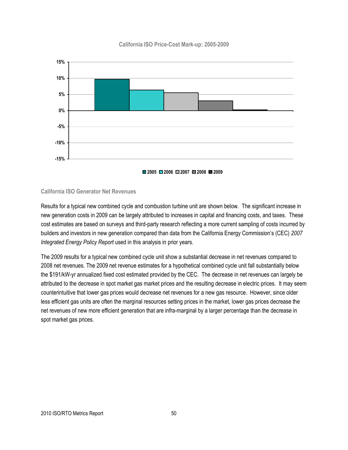#### **California ISO Price-Cost Mark-up: 2005-2009**



#### **California ISO Generator Net Revenues**

Results for a typical new combined cycle and combustion turbine unit are shown below. The significant increase in new generation costs in 2009 can be largely attributed to increases in capital and financing costs, and taxes. These cost estimates are based on surveys and third-party research reflecting a more current sampling of costs incurred by builders and investors in new generation compared than data from the California Energy Commission's (CEC) *2007 Integrated Energy Policy Report* used in this analysis in prior years.

The 2009 results for a typical new combined cycle unit show a substantial decrease in net revenues compared to 2008 net revenues. The 2009 net revenue estimates for a hypothetical combined cycle unit fall substantially below the \$191/kW-yr annualized fixed cost estimated provided by the CEC. The decrease in net revenues can largely be attributed to the decrease in spot market gas market prices and the resulting decrease in electric prices. It may seem counterintuitive that lower gas prices would decrease net revenues for a new gas resource. However, since older less efficient gas units are often the marginal resources setting prices in the market, lower gas prices decrease the net revenues of new more efficient generation that are infra-marginal by a larger percentage than the decrease in spot market gas prices.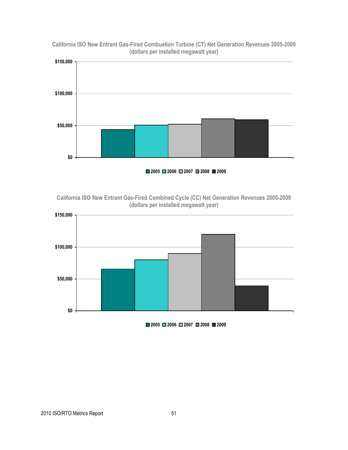

**California ISO New Entrant Gas-Fired Combustion Turbine (CT) Net Generation Revenues 2005-2009 (dollars per installed megawatt year)**

**2005 2006 2007 2008 2009**

**California ISO New Entrant Gas-Fired Combined Cycle (CC) Net Generation Revenues 2005-2009 (dollars per installed megawatt year)**

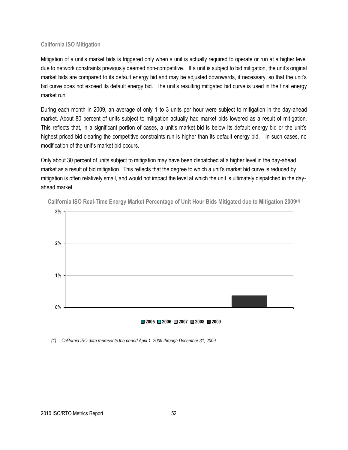#### **California ISO Mitigation**

Mitigation of a unit's market bids is triggered only when a unit is actually required to operate or run at a higher level due to network constraints previously deemed non-competitive. If a unit is subject to bid mitigation, the unit's original market bids are compared to its default energy bid and may be adjusted downwards, if necessary, so that the unit's bid curve does not exceed its default energy bid. The unit's resulting mitigated bid curve is used in the final energy market run.

During each month in 2009, an average of only 1 to 3 units per hour were subject to mitigation in the day-ahead market. About 80 percent of units subject to mitigation actually had market bids lowered as a result of mitigation. This reflects that, in a significant portion of cases, a unit's market bid is below its default energy bid or the unit's highest priced bid clearing the competitive constraints run is higher than its default energy bid. In such cases, no modification of the unit's market bid occurs.

Only about 30 percent of units subject to mitigation may have been dispatched at a higher level in the day-ahead market as a result of bid mitigation. This reflects that the degree to which a unit's market bid curve is reduced by mitigation is often relatively small, and would not impact the level at which the unit is ultimately dispatched in the dayahead market.



**California ISO Real-Time Energy Market Percentage of Unit Hour Bids Mitigated due to Mitigation 2009(1)**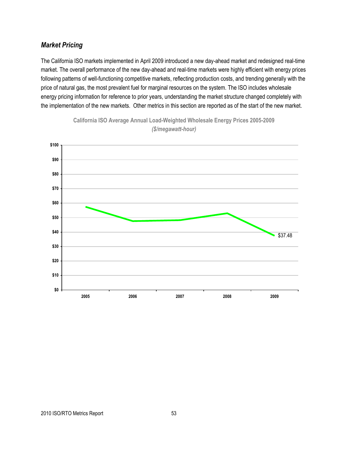## *Market Pricing*

The California ISO markets implemented in April 2009 introduced a new day-ahead market and redesigned real-time market. The overall performance of the new day-ahead and real-time markets were highly efficient with energy prices following patterns of well-functioning competitive markets, reflecting production costs, and trending generally with the price of natural gas, the most prevalent fuel for marginal resources on the system. The ISO includes wholesale energy pricing information for reference to prior years, understanding the market structure changed completely with the implementation of the new markets. Other metrics in this section are reported as of the start of the new market.



**California ISO Average Annual Load-Weighted Wholesale Energy Prices 2005-2009** *(\$/megawatt-hour)*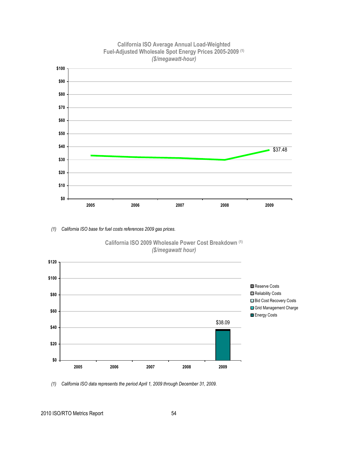

## **California ISO Average Annual Load-Weighted Fuel-Adjusted Wholesale Spot Energy Prices 2005-2009 (1)**

*(1) California ISO base for fuel costs references 2009 gas prices.* 



**California ISO 2009 Wholesale Power Cost Breakdown (1)** *(\$/megawatt hour)*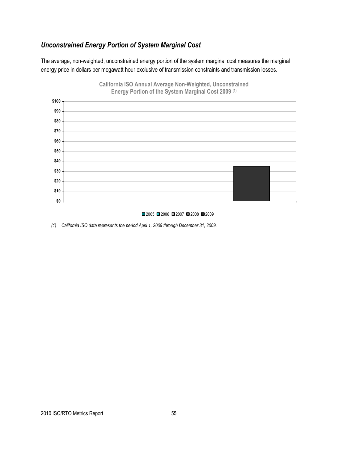## *Unconstrained Energy Portion of System Marginal Cost*

The average, non-weighted, unconstrained energy portion of the system marginal cost measures the marginal energy price in dollars per megawatt hour exclusive of transmission constraints and transmission losses.



# **California ISO Annual Average Non-Weighted, Unconstrained**

#### $2005$  2006 2007 2008 2009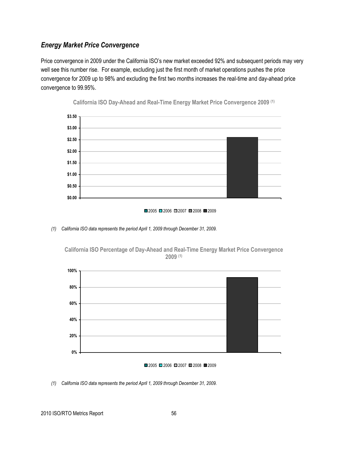## *Energy Market Price Convergence*

Price convergence in 2009 under the California ISO's new market exceeded 92% and subsequent periods may very well see this number rise. For example, excluding just the first month of market operations pushes the price convergence for 2009 up to 98% and excluding the first two months increases the real-time and day-ahead price convergence to 99.95%.



**California ISO Day-Ahead and Real-Time Energy Market Price Convergence 2009 (1)**



*(1) California ISO data represents the period April 1, 2009 through December 31, 2009.* 



**California ISO Percentage of Day-Ahead and Real-Time Energy Market Price Convergence 2009 (1)**

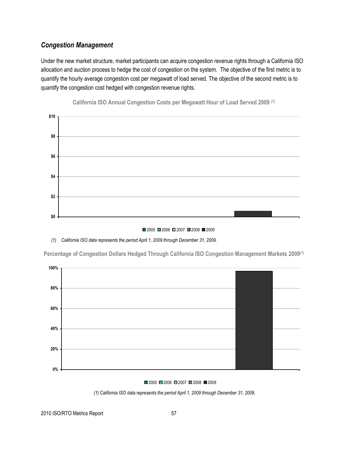## *Congestion Management*

Under the new market structure, market participants can acquire congestion revenue rights through a California ISO allocation and auction process to hedge the cost of congestion on the system. The objective of the first metric is to quantify the hourly average congestion cost per megawatt of load served. The objective of the second metric is to quantify the congestion cost hedged with congestion revenue rights.



**California ISO Annual Congestion Costs per Megawatt Hour of Load Served 2009 (1)**

■2005 ■2006 ■2007 ■2008 ■2009

#### *(1) California ISO data represents the period April 1, 2009 through December 31, 2009.*

**Percentage of Congestion Dollars Hedged Through California ISO Congestion Management Markets 2009(1)**



■2005 ■2006 ■2007 ■2008 ■2009

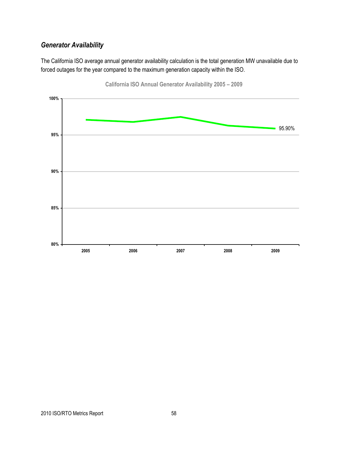## *Generator Availability*

The California ISO average annual generator availability calculation is the total generation MW unavailable due to forced outages for the year compared to the maximum generation capacity within the ISO.



**California ISO Annual Generator Availability 2005 – 2009**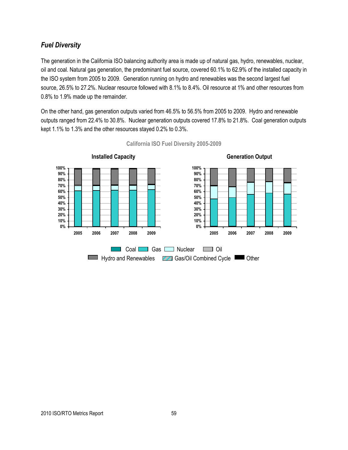## *Fuel Diversity*

The generation in the California ISO balancing authority area is made up of natural gas, hydro, renewables, nuclear, oil and coal. Natural gas generation, the predominant fuel source, covered 60.1% to 62.9% of the installed capacity in the ISO system from 2005 to 2009. Generation running on hydro and renewables was the second largest fuel source, 26.5% to 27.2%. Nuclear resource followed with 8.1% to 8.4%. Oil resource at 1% and other resources from 0.8% to 1.9% made up the remainder.

On the other hand, gas generation outputs varied from 46.5% to 56.5% from 2005 to 2009. Hydro and renewable outputs ranged from 22.4% to 30.8%. Nuclear generation outputs covered 17.8% to 21.8%. Coal generation outputs kept 1.1% to 1.3% and the other resources stayed 0.2% to 0.3%.



**California ISO Fuel Diversity 2005-2009**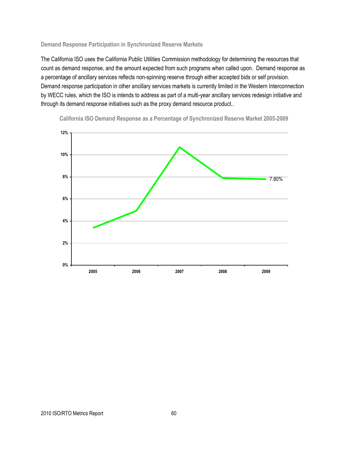#### **Demand Response Participation in Synchronized Reserve Markets**

The California ISO uses the California Public Utilities Commission methodology for determining the resources that count as demand response, and the amount expected from such programs when called upon. Demand response as a percentage of ancillary services reflects non-spinning reserve through either accepted bids or self provision. Demand response participation in other ancillary services markets is currently limited in the Western Interconnection by WECC rules, which the ISO is intends to address as part of a multi-year ancillary services redesign initiative and through its demand response initiatives such as the proxy demand resource product..



**California ISO Demand Response as a Percentage of Synchronized Reserve Market 2005-2009**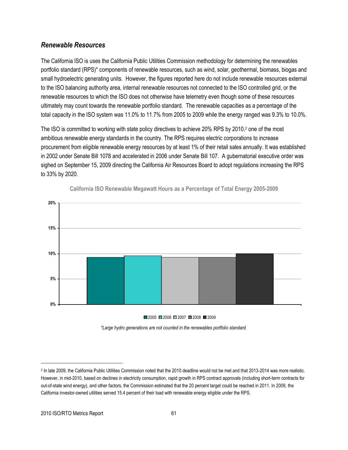### *Renewable Resources*

The California ISO is uses the California Public Utilities Commission methodology for determining the renewables portfolio standard (RPS)\* components of renewable resources, such as wind, solar, geothermal, biomass, biogas and small hydroelectric generating units. However, the figures reported here do not include renewable resources external to the ISO balancing authority area, internal renewable resources not connected to the ISO controlled grid, or the renewable resources to which the ISO does not otherwise have telemetry even though some of these resources ultimately may count towards the renewable portfolio standard. The renewable capacities as a percentage of the total capacity in the ISO system was 11.0% to 11.7% from 2005 to 2009 while the energy ranged was 9.3% to 10.0%.

The ISO is committed to working with state policy directives to achieve 20% RPS by 2010,<sup>2</sup> one of the most ambitious renewable energy standards in the country. The RPS requires electric corporations to increase procurement from eligible renewable energy resources by at least 1% of their retail sales annually. It was established in 2002 under Senate Bill 1078 and accelerated in 2006 under Senate Bill 107. A gubernatorial executive order was sighed on September 15, 2009 directing the California Air Resources Board to adopt regulations increasing the RPS to 33% by 2020.



### **California ISO Renewable Megawatt Hours as a Percentage of Total Energy 2005-2009**

#### ■2005 ■2006 ■2007 ■2008 ■2009

*\*Large hydro generations are not counted in the renewables portfolio standard.* 

 $\overline{a}$ 

<sup>2</sup> In late 2009, the California Public Utilities Commission noted that the 2010 deadline would not be met and that 2013-2014 was more realistic. However, in mid-2010, based on declines in electricity consumption, rapid growth in RPS contract approvals (including short-term contracts for out-of-state wind energy), and other factors, the Commission estimated that the 20 percent target could be reached in 2011. In 2009, the California investor-owned utilities served 15.4 percent of their load with renewable energy eligible under the RPS.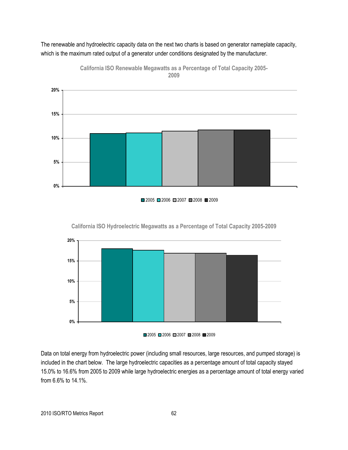The renewable and hydroelectric capacity data on the next two charts is based on generator nameplate capacity, which is the maximum rated output of a generator under conditions designated by the manufacturer.



**California ISO Renewable Megawatts as a Percentage of Total Capacity 2005- 2009**



**0% 5% 10% 15% 20%**

**California ISO Hydroelectric Megawatts as a Percentage of Total Capacity 2005-2009**



Data on total energy from hydroelectric power (including small resources, large resources, and pumped storage) is included in the chart below.The large hydroelectric capacities as a percentage amount of total capacity stayed 15.0% to 16.6% from 2005 to 2009 while large hydroelectric energies as a percentage amount of total energy varied from 6.6% to 14.1%.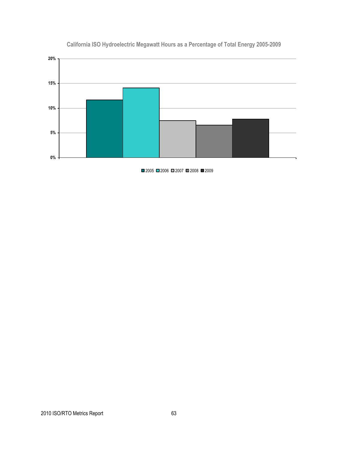

## **California ISO Hydroelectric Megawatt Hours as a Percentage of Total Energy 2005-2009**

■2005 ■2006 ■2007 ■2008 ■2009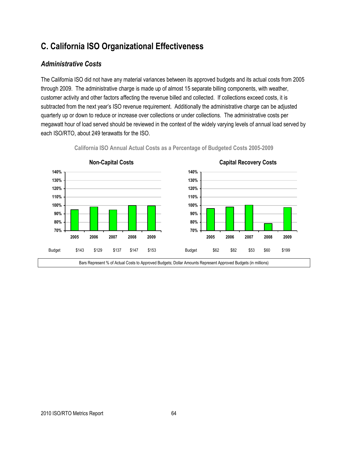## **C. California ISO Organizational Effectiveness**

## *Administrative Costs*

The California ISO did not have any material variances between its approved budgets and its actual costs from 2005 through 2009. The administrative charge is made up of almost 15 separate billing components, with weather, customer activity and other factors affecting the revenue billed and collected. If collections exceed costs, it is subtracted from the next year's ISO revenue requirement. Additionally the administrative charge can be adjusted quarterly up or down to reduce or increase over collections or under collections. The administrative costs per megawatt hour of load served should be reviewed in the context of the widely varying levels of annual load served by each ISO/RTO, about 249 terawatts for the ISO.



**California ISO Annual Actual Costs as a Percentage of Budgeted Costs 2005-2009**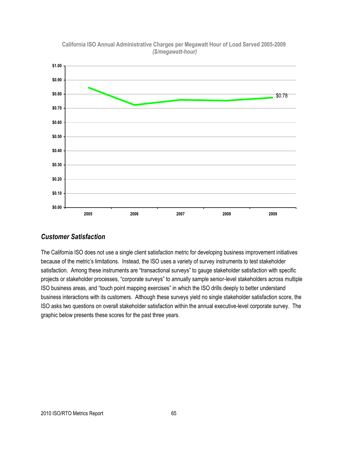

**California ISO Annual Administrative Charges per Megawatt Hour of Load Served 2005-2009** *(\$/megawatt-hour)*

### *Customer Satisfaction*

The California ISO does not use a single client satisfaction metric for developing business improvement initiatives because of the metric's limitations. Instead, the ISO uses a variety of survey instruments to test stakeholder satisfaction. Among these instruments are "transactional surveys" to gauge stakeholder satisfaction with specific projects or stakeholder processes, "corporate surveys" to annually sample senior-level stakeholders across multiple ISO business areas, and "touch point mapping exercises" in which the ISO drills deeply to better understand business interactions with its customers. Although these surveys yield no single stakeholder satisfaction score, the ISO asks two questions on overall stakeholder satisfaction within the annual executive-level corporate survey. The graphic below presents these scores for the past three years.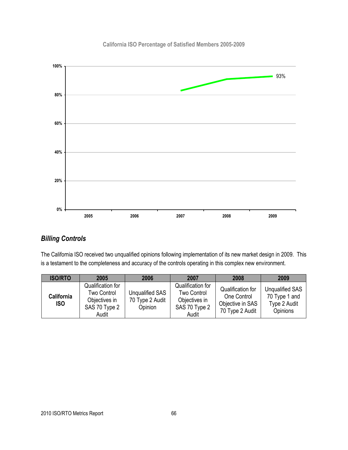## **California ISO Percentage of Satisfied Members 2005-2009**



## *Billing Controls*

The California ISO received two unqualified opinions following implementation of its new market design in 2009. This is a testament to the completeness and accuracy of the controls operating in this complex new environment.

| <b>ISO/RTO</b>                  | 2005                                                                        | 2006                                          | 2007                                                                               | 2008                                                                    | 2009                                                                |
|---------------------------------|-----------------------------------------------------------------------------|-----------------------------------------------|------------------------------------------------------------------------------------|-------------------------------------------------------------------------|---------------------------------------------------------------------|
| <b>California</b><br><b>ISO</b> | Qualification for<br>Two Control<br>Objectives in<br>SAS 70 Type 2<br>Audit | Unqualified SAS<br>70 Type 2 Audit<br>Opinion | Qualification for<br><b>Two Control</b><br>Objectives in<br>SAS 70 Type 2<br>Audit | Qualification for<br>One Control<br>Objective in SAS<br>70 Type 2 Audit | <b>Unqualified SAS</b><br>70 Type 1 and<br>Type 2 Audit<br>Opinions |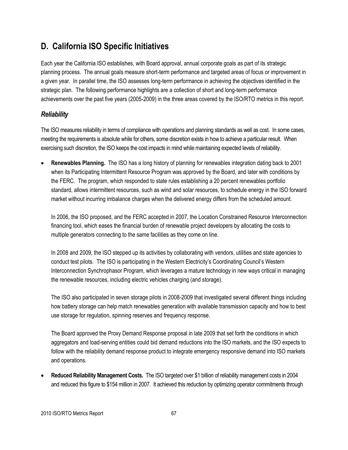## **D. California ISO Specific Initiatives**

Each year the California ISO establishes, with Board approval, annual corporate goals as part of its strategic planning process. The annual goals measure short-term performance and targeted areas of focus or improvement in a given year. In parallel time, the ISO assesses long-term performance in achieving the objectives identified in the strategic plan. The following performance highlights are a collection of short and long-term performance achievements over the past five years (2005-2009) in the three areas covered by the ISO/RTO metrics in this report.

## *Reliability*

The ISO measures reliability in terms of compliance with operations and planning standards as well as cost. In some cases, meeting the requirements is absolute while for others, some discretion exists in how to achieve a particular result. When exercising such discretion, the ISO keeps the cost impacts in mind while maintaining expected levels of reliability.

 **Renewables Planning.** The ISO has a long history of planning for renewables integration dating back to 2001 when its Participating Intermittent Resource Program was approved by the Board, and later with conditions by the FERC. The program, which responded to state rules establishing a 20 percent renewables portfolio standard, allows intermittent resources, such as wind and solar resources, to schedule energy in the ISO forward market without incurring imbalance charges when the delivered energy differs from the scheduled amount.

In 2006, the ISO proposed, and the FERC accepted in 2007, the Location Constrained Resource Interconnection financing tool, which eases the financial burden of renewable project developers by allocating the costs to multiple generators connecting to the same facilities as they come on line.

In 2008 and 2009, the ISO stepped up its activities by collaborating with vendors, utilities and state agencies to conduct test pilots. The ISO is participating in the Western Electricity's Coordinating Council's Western Interconnection Synchrophasor Program, which leverages a mature technology in new ways critical in managing the renewable resources, including electric vehicles charging (and storage).

The ISO also participated in seven storage pilots in 2008-2009 that investigated several different things including how battery storage can help match renewables generation with available transmission capacity and how to best use storage for regulation, spinning reserves and frequency response.

The Board approved the Proxy Demand Response proposal in late 2009 that set forth the conditions in which aggregators and load-serving entities could bid demand reductions into the ISO markets, and the ISO expects to follow with the reliability demand response product to integrate emergency responsive demand into ISO markets and operations.

 **Reduced Reliability Management Costs.** The ISO targeted over \$1 billion of reliability management costs in 2004 and reduced this figure to \$154 million in 2007. It achieved this reduction by optimizing operator commitments through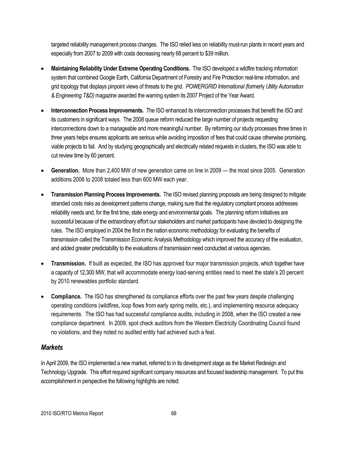targeted reliability management process changes. The ISO relied less on reliability must-run plants in recent years and especially from 2007 to 2009 with costs decreasing nearly 68 percent to \$39 million.

- **Maintaining Reliability Under Extreme Operating Conditions.** The ISO developed a wildfire tracking information system that combined Google Earth, California Department of Forestry and Fire Protection real-time information, and grid topology that displays pinpoint views of threats to the grid. *POWERGRID International (*formerly *Utility Automation & Engineering T&D)*magazine awarded the warning system its 2007 Project of the Year Award.
- **Interconnection Process Improvements.** The ISO enhanced its interconnection processes that benefit the ISO and its customers in significant ways. The 2008 queue reform reduced the large number of projects requesting interconnections down to a manageable and more meaningful number. By reforming our study processes three times in three years helps ensures applicants are serious while avoiding imposition of fees that could cause otherwise promising, viable projects to fail. And by studying geographically and electrically related requests in clusters, the ISO was able to cut review time by 60 percent.
- **Generation.** More than 2,400 MW of new generation came on line in 2009 the most since 2005. Generation additions 2006 to 2008 totaled less than 600 MW each year.
- **Transmission Planning Process Improvements.** The ISO revised planning proposals are being designed to mitigate stranded costs risks as development patterns change, making sure that the regulatory compliant process addresses reliability needs and, for the first time, state energy and environmental goals. The planning reform initiatives are successful because of the extraordinary effort our stakeholders and market participants have devoted to designing the rules. The ISO employed in 2004 the first in the nation economic methodology for evaluating the benefits of transmission called the Transmission Economic Analysis Methodology which improved the accuracy of the evaluation, and added greater predictability to the evaluations of transmission need conducted at various agencies.
- **Transmission.** If built as expected, the ISO has approved four major transmission projects, which together have a capacity of 12,300 MW, that will accommodate energy load-serving entities need to meet the state's 20 percent by 2010 renewables portfolio standard.
- **Compliance.** The ISO has strengthened its compliance efforts over the past few years despite challenging operating conditions (wildfires, loop flows from early spring melts, etc.), and implementing resource adequacy requirements. The ISO has had successful compliance audits, including in 2008, when the ISO created a new compliance department. In 2009, spot check auditors from the Western Electricity Coordinating Council found no violations, and they noted no audited entity had achieved such a feat.

## *Markets*

In April 2009, the ISO implemented a new market, referred to in its development stage as the Market Redesign and Technology Upgrade. This effort required significant company resources and focused leadership management. To put this accomplishment in perspective the following highlights are noted: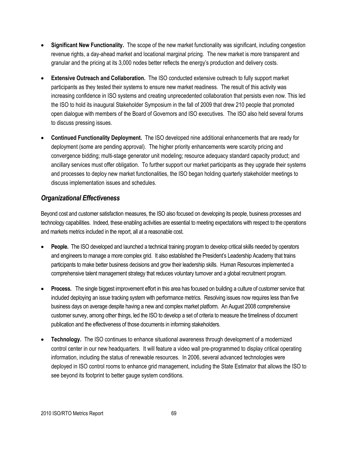- **Significant New Functionality.** The scope of the new market functionality was significant, including congestion revenue rights, a day-ahead market and locational marginal pricing. The new market is more transparent and granular and the pricing at its 3,000 nodes better reflects the energy's production and delivery costs.
- **Extensive Outreach and Collaboration.** The ISO conducted extensive outreach to fully support market participants as they tested their systems to ensure new market readiness. The result of this activity was increasing confidence in ISO systems and creating unprecedented collaboration that persists even now. This led the ISO to hold its inaugural Stakeholder Symposium in the fall of 2009 that drew 210 people that promoted open dialogue with members of the Board of Governors and ISO executives. The ISO also held several forums to discuss pressing issues.
- **Continued Functionality Deployment.** The ISO developed nine additional enhancements that are ready for deployment (some are pending approval). The higher priority enhancements were scarcity pricing and convergence bidding; multi-stage generator unit modeling; resource adequacy standard capacity product; and ancillary services must offer obligation. To further support our market participants as they upgrade their systems and processes to deploy new market functionalities, the ISO began holding quarterly stakeholder meetings to discuss implementation issues and schedules.

## *Organizational Effectiveness*

Beyond cost and customer satisfaction measures, the ISO also focused on developing its people, business processes and technology capabilities. Indeed, these enabling activities are essential to meeting expectations with respect to the operations and markets metrics included in the report, all at a reasonable cost.

- **People.** The ISO developed and launched a technical training program to develop critical skills needed by operators and engineers to manage a more complex grid. It also established the President's Leadership Academy that trains participants to make better business decisions and grow their leadership skills. Human Resources implemented a comprehensive talent management strategy that reduces voluntary turnover and a global recruitment program.
- **Process.** The single biggest improvement effort in this area has focused on building a culture of customer service that included deploying an issue tracking system with performance metrics. Resolving issues now requires less than five business days on average despite having a new and complex market platform. An August 2008 comprehensive customer survey, among other things, led the ISO to develop a set of criteria to measure the timeliness of document publication and the effectiveness of those documents in informing stakeholders.
- **Technology.** The ISO continues to enhance situational awareness through development of a modernized control center in our new headquarters. It will feature a video wall pre-programmed to display critical operating information, including the status of renewable resources. In 2006, several advanced technologies were deployed in ISO control rooms to enhance grid management, including the State Estimator that allows the ISO to see beyond its footprint to better gauge system conditions.